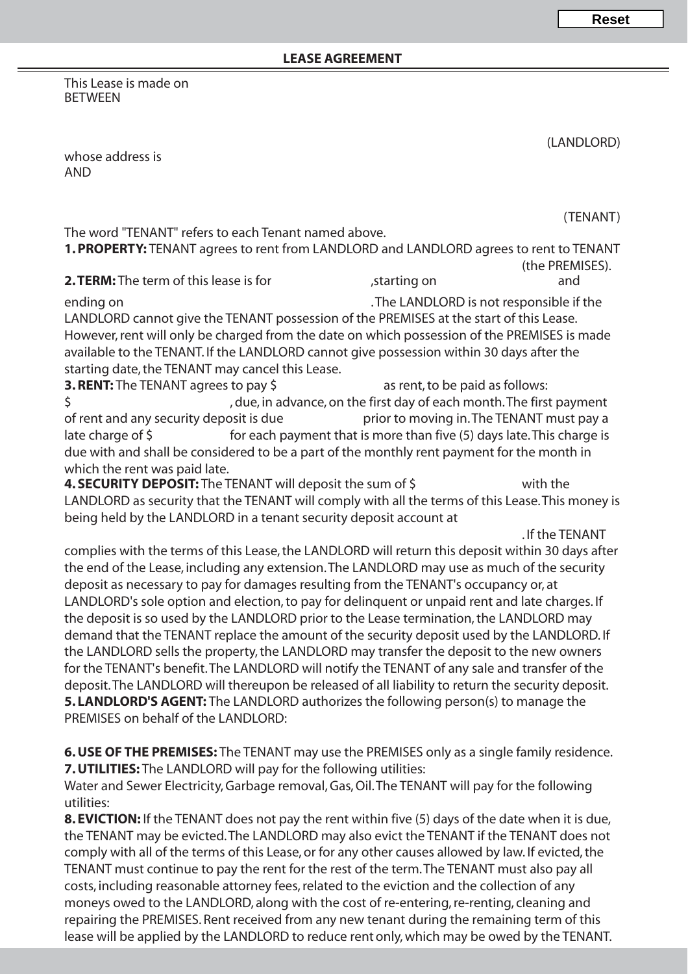This Lease is made on BETWEEN

(LANDLORD)

whose address is AND

(TENANT) The word "TENANT" refers to each Tenant named above. **1. PROPERTY:** TENANT agrees to rent from LANDLORD and LANDLORD agrees to rent to TENANT (the PREMISES). **2. TERM:** The term of this lease is for  $\qquad \qquad$  , starting on  $\qquad \qquad$  and ending on **EXECUTE:** The LANDLORD is not responsible if the LANDLORD cannot give the TENANT possession of the PREMISES at the start of this Lease. However, rent will only be charged from the date on which possession of the PREMISES is made available to the TENANT. If the LANDLORD cannot give possession within 30 days after the starting date, the TENANT may cancel this Lease. **3. RENT:** The TENANT agrees to pay \$ as rent, to be paid as follows: \$
\$
\$
\$
\$
\$
\$
\$
\$
\$
\$
\$ of rent and any security deposit is due prior to moving in. The TENANT must pay a late charge of  $\frac{1}{2}$  for each payment that is more than five (5) days late. This charge is due with and shall be considered to be a part of the monthly rent payment for the month in which the rent was paid late. **4. SECURITY DEPOSIT:** The TENANT will deposit the sum of \$ with the LANDLORD as security that the TENANT will comply with all the terms of this Lease. This money is being held by the LANDLORD in a tenant security deposit account at . If the TENANT complies with the terms of this Lease, the LANDLORD will return this deposit within 30 days after the end of the Lease, including any extension. The LANDLORD may use as much of the security deposit as necessary to pay for damages resulting from the TENANT's occupancy or, at LANDLORD's sole option and election, to pay for delinquent or unpaid rent and late charges. If the deposit is so used by the LANDLORD prior to the Lease termination, the LANDLORD may demand that the TENANT replace the amount of the security deposit used by the LANDLORD. If the LANDLORD sells the property, the LANDLORD may transfer the deposit to the new owners for the TENANT's benefit. The LANDLORD will notify the TENANT of any sale and transfer of the deposit. The LANDLORD will thereupon be released of all liability to return the security deposit. **5. LANDLORD'S AGENT:** The LANDLORD authorizes the following person(s) to manage the PREMISES on behalf of the LANDLORD: **6. USE OF THE PREMISES:** The TENANT may use the PREMISES only as a single family residence.

**7. UTILITIES:** The LANDLORD will pay for the following utilities:

Water and Sewer Electricity, Garbage removal, Gas, Oil. The TENANT will pay for the following utilities:

**8. EVICTION:** If the TENANT does not pay the rent within five (5) days of the date when it is due, the TENANT may be evicted. The LANDLORD may also evict the TENANT if the TENANT does not comply with all of the terms of this Lease, or for any other causes allowed by law. If evicted, the TENANT must continue to pay the rent for the rest of the term. The TENANT must also pay all costs, including reasonable attorney fees, related to the eviction and the collection of any moneys owed to the LANDLORD, along with the cost of re-entering, re-renting, cleaning and repairing the PREMISES. Rent received from any new tenant during the remaining term of this lease will be applied by the LANDLORD to reduce rent only, which may be owed by the TENANT.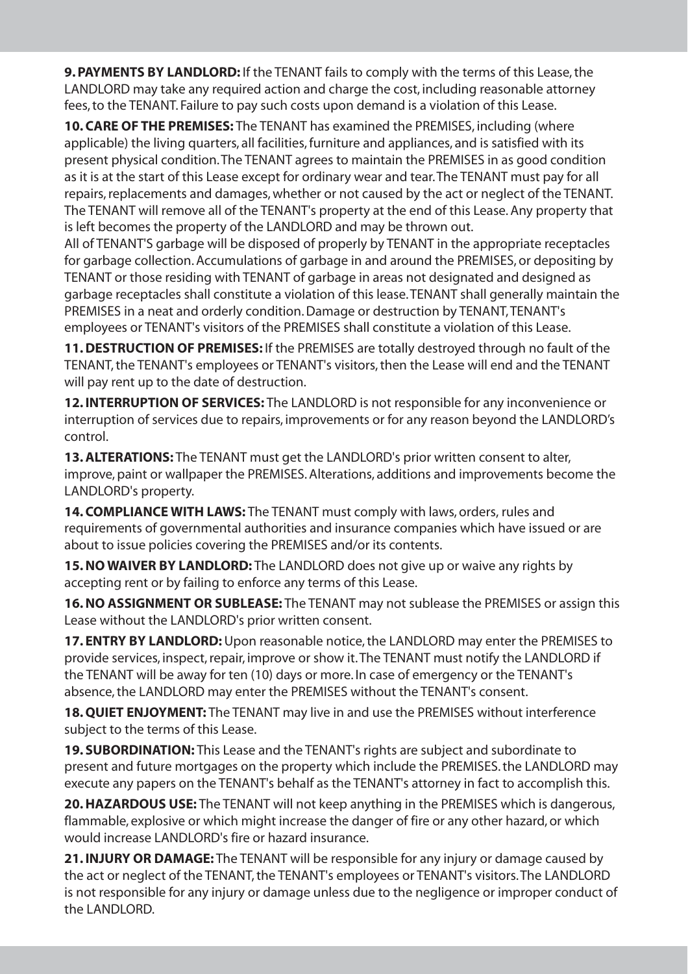**9. PAYMENTS BY LANDLORD:** If the TENANT fails to comply with the terms of this Lease, the LANDLORD may take any required action and charge the cost, including reasonable attorney fees, to the TENANT. Failure to pay such costs upon demand is a violation of this Lease.

**10. CARE OF THE PREMISES:** The TENANT has examined the PREMISES, including (where applicable) the living quarters, all facilities, furniture and appliances, and is satisfied with its present physical condition.The TENANT agrees to maintain the PREMISES in as good condition as it is at the start of this Lease except for ordinary wear and tear.The TENANT must pay for all repairs, replacements and damages, whether or not caused by the act or neglect of the TENANT. The TENANT will remove all of the TENANT's property at the end of this Lease. Any property that is left becomes the property of the LANDLORD and may be thrown out.

All of TENANT'S garbage will be disposed of properly by TENANT in the appropriate receptacles for garbage collection. Accumulations of garbage in and around the PREMISES, or depositing by TENANT or those residing with TENANT of garbage in areas not designated and designed as garbage receptacles shall constitute a violation of this lease.TENANT shall generally maintain the PREMISES in a neat and orderly condition. Damage or destruction by TENANT, TENANT's employees or TENANT's visitors of the PREMISES shall constitute a violation of this Lease.

**11. DESTRUCTION OF PREMISES:** If the PREMISES are totally destroyed through no fault of the TENANT, the TENANT's employees or TENANT's visitors, then the Lease will end and the TENANT will pay rent up to the date of destruction.

**12. INTERRUPTION OF SERVICES:** The LANDLORD is not responsible for any inconvenience or interruption of services due to repairs, improvements or for any reason beyond the LANDLORD's control.

**13. ALTERATIONS:** The TENANT must get the LANDLORD's prior written consent to alter, improve, paint or wallpaper the PREMISES. Alterations, additions and improvements become the LANDLORD's property.

**14. COMPLIANCE WITH LAWS:** The TENANT must comply with laws, orders, rules and requirements of governmental authorities and insurance companies which have issued or are about to issue policies covering the PREMISES and/or its contents.

**15. NO WAIVER BY LANDLORD:** The LANDLORD does not give up or waive any rights by accepting rent or by failing to enforce any terms of this Lease.

**16. NO ASSIGNMENT OR SUBLEASE:** The TENANT may not sublease the PREMISES or assign this Lease without the LANDLORD's prior written consent.

**17. ENTRY BY LANDLORD:**Upon reasonable notice, the LANDLORD may enter the PREMISES to provide services, inspect, repair, improve or show it.The TENANT must notify the LANDLORD if the TENANT will be away for ten (10) days or more. In case of emergency or the TENANT's absence, the LANDLORD may enter the PREMISES without the TENANT's consent.

**18. QUIET ENJOYMENT:** The TENANT may live in and use the PREMISES without interference subject to the terms of this Lease.

**19. SUBORDINATION:** This Lease and the TENANT's rights are subject and subordinate to present and future mortgages on the property which include the PREMISES. the LANDLORD may execute any papers on the TENANT's behalf as the TENANT's attorney in fact to accomplish this.

**20. HAZARDOUS USE:** The TENANT will not keep anything in the PREMISES which is dangerous, flammable, explosive or which might increase the danger of fire or any other hazard, or which would increase LANDLORD's fire or hazard insurance.

**21. INJURY OR DAMAGE:** The TENANT will be responsible for any injury or damage caused by the act or neglect of the TENANT, the TENANT's employees or TENANT's visitors.The LANDLORD is not responsible for any injury or damage unless due to the negligence or improper conduct of the LANDLORD.